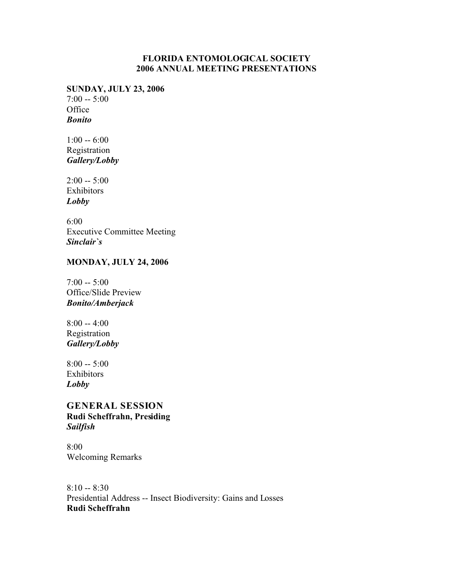#### **FLORIDA ENTOMOLOGICAL SOCIETY 2006 ANNUAL MEETING PRESENTATIONS**

**SUNDAY, JULY 23, 2006**  $7:00 - 5:00$ **Office** *Bonito*

 $1:00 - 6:00$ Registration *Gallery/Lobby*

 $2:00 - 5:00$ Exhibitors *Lobby*

6:00 Executive Committee Meeting *Sinclair`s*

# **MONDAY, JULY 24, 2006**

 $7:00 - 5:00$ Office/Slide Preview *Bonito/Amberjack*

8:00 -- 4:00 Registration *Gallery/Lobby*

8:00 -- 5:00 Exhibitors *Lobby*

#### **GENERAL SESSION Rudi Scheffrahn, Presiding** *Sailfish*

8:00 Welcoming Remarks

8:10 -- 8:30 Presidential Address -- Insect Biodiversity: Gains and Losses **Rudi Scheffrahn**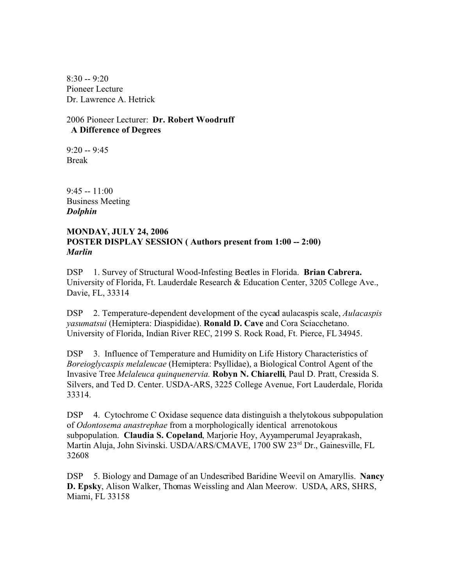8:30 -- 9:20 Pioneer Lecture Dr. Lawrence A. Hetrick

2006 Pioneer Lecturer: **Dr. Robert Woodruff A Difference of Degrees** 

 $9:20 - 9:45$ Break

 $9:45 - 11:00$ Business Meeting *Dolphin*

#### **MONDAY, JULY 24, 2006 POSTER DISPLAY SESSION ( Authors present from 1:00 -- 2:00)** *Marlin*

DSP 1. Survey of Structural Wood-Infesting Beetles in Florida. **Brian Cabrera.** University of Florida, Ft. Lauderdale Research & Education Center, 3205 College Ave., Davie, FL, 33314

DSP 2. Temperature-dependent development of the cycad aulacaspis scale, *Aulacaspis yasumatsui* (Hemiptera: Diaspididae). **Ronald D. Cave** and Cora Sciacchetano. University of Florida, Indian River REC, 2199 S. Rock Road, Ft. Pierce, FL 34945.

DSP 3. Influence of Temperature and Humidity on Life History Characteristics of *Boreioglycaspis melaleucae* (Hemiptera: Psyllidae), a Biological Control Agent of the Invasive Tree *Melaleuca quinquenervia.* **Robyn N. Chiarelli**, Paul D. Pratt, Cressida S. Silvers, and Ted D. Center. USDA-ARS, 3225 College Avenue, Fort Lauderdale, Florida 33314.

DSP 4.Cytochrome C Oxidase sequence data distinguish a thelytokous subpopulation of *Odontosema anastrephae* from a morphologically identical arrenotokous subpopulation. **Claudia S. Copeland**, Marjorie Hoy, Ayyamperumal Jeyaprakash, Martin Aluja, John Sivinski. USDA/ARS/CMAVE, 1700 SW 23rd Dr., Gainesville, FL 32608

DSP 5. Biology and Damage of an Undescribed Baridine Weevil on Amaryllis. **Nancy D. Epsky**, Alison Walker, Thomas Weissling and Alan Meerow. USDA, ARS, SHRS, Miami, FL 33158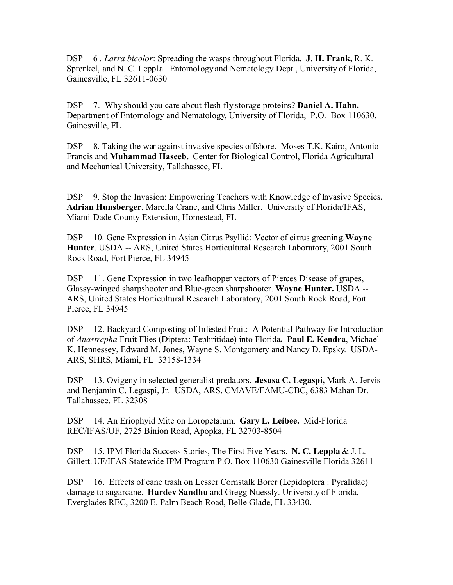DSP 6 *. Larra bicolor*: Spreading the wasps throughout Florida**. J. H. Frank,** R. K. Sprenkel, and N. C. Leppla. Entomology and Nematology Dept., University of Florida, Gainesville, FL 32611-0630

DSP 7. Why should you care about flesh fly storage proteins? **Daniel A. Hahn.** Department of Entomology and Nematology, University of Florida, P.O. Box 110630, Gainesville, FL

DSP 8. Taking the war against invasive species offshore. Moses T.K. Kairo, Antonio Francis and **Muhammad Haseeb.** Center for Biological Control, Florida Agricultural and Mechanical University, Tallahassee, FL

DSP 9. Stop the Invasion: Empowering Teachers with Knowledge of Invasive Species**. Adrian Hunsberger**, Marella Crane, and Chris Miller. University of Florida/IFAS, Miami-Dade County Extension, Homestead, FL

DSP 10. Gene Expression in Asian Citrus Psyllid: Vector of citrus greening.**Wayne Hunter**. USDA -- ARS, United States Horticultural Research Laboratory, 2001 South Rock Road, Fort Pierce, FL 34945

DSP 11. Gene Expression in two leafhopper vectors of Pierces Disease of grapes, Glassy-winged sharpshooter and Blue-green sharpshooter. **Wayne Hunter.** USDA -- ARS, United States Horticultural Research Laboratory, 2001 South Rock Road, Fort Pierce, FL 34945

DSP 12. Backyard Composting of Infested Fruit: A Potential Pathway for Introduction of *Anastrepha* Fruit Flies (Diptera: Tephritidae) into Florida**. Paul E. Kendra**, Michael K. Hennessey, Edward M. Jones, Wayne S. Montgomery and Nancy D. Epsky. USDA-ARS, SHRS, Miami, FL 33158-1334

DSP 13. Ovigeny in selected generalist predators. **Jesusa C. Legaspi,** Mark A. Jervis and Benjamin C. Legaspi, Jr. USDA, ARS, CMAVE/FAMU-CBC, 6383 Mahan Dr. Tallahassee, FL 32308

DSP 14. An Eriophyid Mite on Loropetalum. **Gary L. Leibee.** Mid-Florida REC/IFAS/UF, 2725 Binion Road, Apopka, FL 32703-8504

DSP 15. IPM Florida Success Stories, The First Five Years. **N. C. Leppla** & J. L. Gillett. UF/IFAS Statewide IPM Program P.O. Box 110630 Gainesville Florida 32611

DSP 16. Effects of cane trash on Lesser Cornstalk Borer (Lepidoptera : Pyralidae) damage to sugarcane. **Hardev Sandhu** and Gregg Nuessly. University of Florida, Everglades REC, 3200 E. Palm Beach Road, Belle Glade, FL 33430.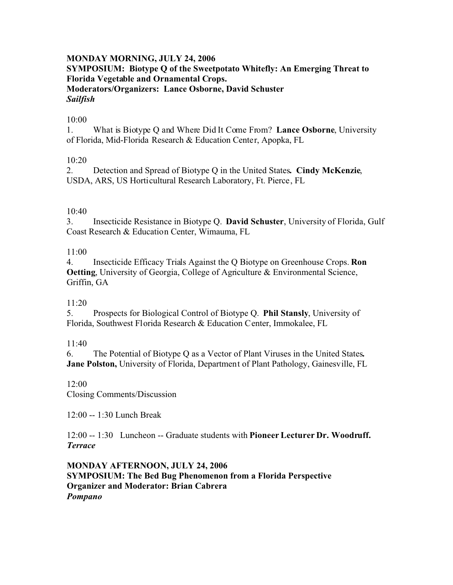#### **MONDAY MORNING, JULY 24, 2006 SYMPOSIUM: Biotype Q of the Sweetpotato Whitefly: An Emerging Threat to Florida Vegetable and Ornamental Crops. Moderators/Organizers: Lance Osborne, David Schuster** *Sailfish*

#### 10:00

1. What is Biotype Q and Where Did It Come From? **Lance Osborne**, University of Florida, Mid-Florida Research & Education Center, Apopka, FL

#### 10:20

2. Detection and Spread of Biotype Q in the United States**. Cindy McKenzie**, USDA, ARS, US Horticultural Research Laboratory, Ft. Pierce, FL

#### 10:40

3. Insecticide Resistance in Biotype Q. **David Schuster**, University of Florida, Gulf Coast Research & Education Center, Wimauma, FL

#### 11:00

4. Insecticide Efficacy Trials Against the Q Biotype on Greenhouse Crops. **Ron Oetting**, University of Georgia, College of Agriculture & Environmental Science, Griffin, GA

#### 11:20

5. Prospects for Biological Control of Biotype Q. **Phil Stansly**, University of Florida, Southwest Florida Research & Education Center, Immokalee, FL

#### $11:40$

6. The Potential of Biotype Q as a Vector of Plant Viruses in the United States**. Jane Polston,** University of Florida, Department of Plant Pathology, Gainesville, FL

12:00

Closing Comments/Discussion

12:00 -- 1:30 Lunch Break

12:00 -- 1:30 Luncheon -- Graduate students with **Pioneer Lecturer Dr. Woodruff.** *Terrace*

**MONDAY AFTERNOON, JULY 24, 2006 SYMPOSIUM: The Bed Bug Phenomenon from a Florida Perspective Organizer and Moderator: Brian Cabrera** *Pompano*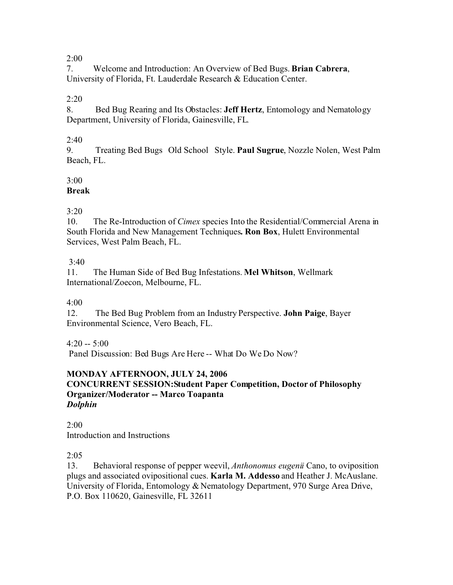7. Welcome and Introduction: An Overview of Bed Bugs. **Brian Cabrera**, University of Florida, Ft. Lauderdale Research & Education Center.

# $2:20$

8. Bed Bug Rearing and Its Obstacles: **Jeff Hertz**, Entomology and Nematology Department, University of Florida, Gainesville, FL.

## $2:40$

9. Treating Bed Bugs Old School Style. **Paul Sugrue**, Nozzle Nolen, West Palm Beach, FL.

# $3:00$

# **Break**

# 3:20

10. The Re-Introduction of *Cimex* species Into the Residential/Commercial Arena in South Florida and New Management Techniques**. Ron Box**, Hulett Environmental Services, West Palm Beach, FL.

# $3.40$

11. The Human Side of Bed Bug Infestations. **Mel Whitson**, Wellmark International/Zoecon, Melbourne, FL.

# 4:00

12. The Bed Bug Problem from an Industry Perspective. **John Paige**, Bayer Environmental Science, Vero Beach, FL.

# $4.20 - 5.00$

Panel Discussion: Bed Bugs Are Here -- What Do We Do Now?

# **MONDAY AFTERNOON, JULY 24, 2006**

#### **CONCURRENT SESSION:Student Paper Competition, Doctor of Philosophy Organizer/Moderator -- Marco Toapanta** *Dolphin*

 $2:00$ Introduction and Instructions

# 2:05

13. Behavioral response of pepper weevil, *Anthonomus eugenii* Cano, to oviposition plugs and associated ovipositional cues. **Karla M. Addesso** and Heather J. McAuslane. University of Florida, Entomology & Nematology Department, 970 Surge Area Drive, P.O. Box 110620, Gainesville, FL 32611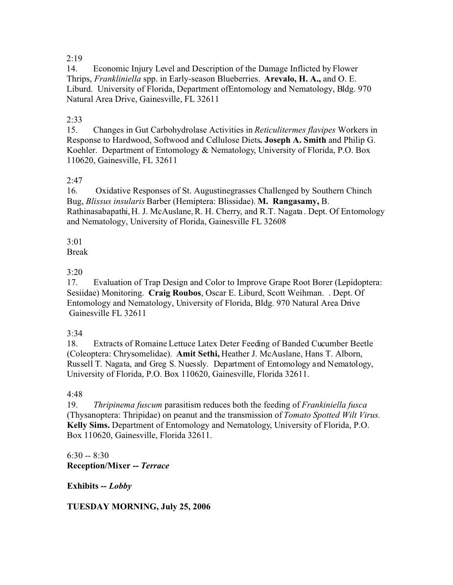14. Economic Injury Level and Description of the Damage Inflicted by Flower Thrips, *Frankliniella* spp. in Early-season Blueberries. **Arevalo, H. A.,** and O. E. Liburd. University of Florida, Department ofEntomology and Nematology, Bldg. 970 Natural Area Drive, Gainesville, FL 32611

### $2:33$

15. Changes in Gut Carbohydrolase Activities in *Reticulitermes flavipes* Workers in Response to Hardwood, Softwood and Cellulose Diets**. Joseph A. Smith** and Philip G. Koehler. Department of Entomology & Nematology, University of Florida, P.O. Box 110620, Gainesville, FL 32611

## $2.47$

16. Oxidative Responses of St. Augustinegrasses Challenged by Southern Chinch Bug, *Blissus insularis* Barber (Hemiptera: Blissidae). **M. Rangasamy,** B. Rathinasabapathi, H. J. McAuslane, R. H. Cherry, and R.T. Nagata. Dept. Of Entomology and Nematology, University of Florida, Gainesville FL 32608

## 3:01

Break

# 3:20

17. Evaluation of Trap Design and Color to Improve Grape Root Borer (Lepidoptera: Sesiidae) Monitoring. **Craig Roubos**, Oscar E. Liburd, Scott Weihman. . Dept. Of Entomology and Nematology, University of Florida, Bldg. 970 Natural Area Drive Gainesville FL 32611

#### 3:34

18. Extracts of Romaine Lettuce Latex Deter Feeding of Banded Cucumber Beetle (Coleoptera: Chrysomelidae). **Amit Sethi,** Heather J. McAuslane, Hans T. Alborn, Russell T. Nagata, and Greg S. Nuessly. Department of Entomology and Nematology, University of Florida, P.O. Box 110620, Gainesville, Florida 32611.

#### 4:48

19. *Thripinema fuscum* parasitism reduces both the feeding of *Frankiniella fusca* (Thysanoptera: Thripidae) on peanut and the transmission of *Tomato Spotted Wilt Virus.*  **Kelly Sims.** Department of Entomology and Nematology, University of Florida, P.O. Box 110620, Gainesville, Florida 32611.

## $6:30 - 8:30$ **Reception/Mixer --** *Terrace*

**Exhibits --** *Lobby*

# **TUESDAY MORNING, July 25, 2006**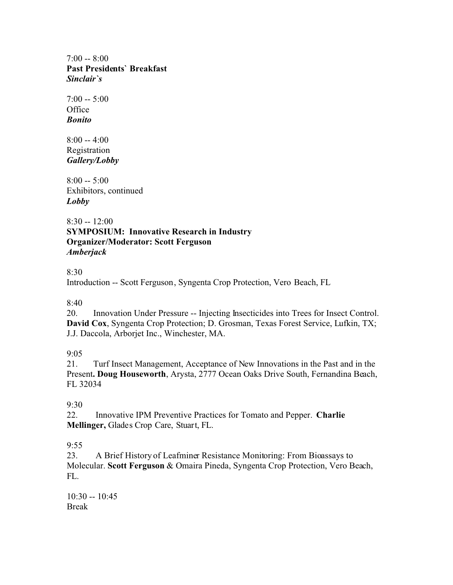$7:00 - 8:00$ **Past Presidents` Breakfast** *Sinclair`s*

 $7:00 - 5:00$ **Office** *Bonito*

 $8:00 - 4:00$ Registration *Gallery/Lobby*

 $8:00 - 5:00$ Exhibitors, continued *Lobby*

 $8:30 - 12:00$ **SYMPOSIUM: Innovative Research in Industry Organizer/Moderator: Scott Ferguson** *Amberjack*

#### 8:30

Introduction -- Scott Ferguson, Syngenta Crop Protection, Vero Beach, FL

8:40

20. Innovation Under Pressure -- Injecting Insecticides into Trees for Insect Control. **David Cox**, Syngenta Crop Protection; D. Grosman, Texas Forest Service, Lufkin, TX; J.J. Daccola, Arborjet Inc., Winchester, MA.

#### 9:05

21. Turf Insect Management, Acceptance of New Innovations in the Past and in the Present**. Doug Houseworth**, Arysta, 2777 Ocean Oaks Drive South, Fernandina Beach, FL 32034

#### 9:30

22. Innovative IPM Preventive Practices for Tomato and Pepper. **Charlie Mellinger,** Glades Crop Care, Stuart, FL.

# $9.55$

23. A Brief History of Leafminer Resistance Monitoring: From Bioassays to Molecular. **Scott Ferguson** & Omaira Pineda, Syngenta Crop Protection, Vero Beach, FL.

10:30 -- 10:45 Break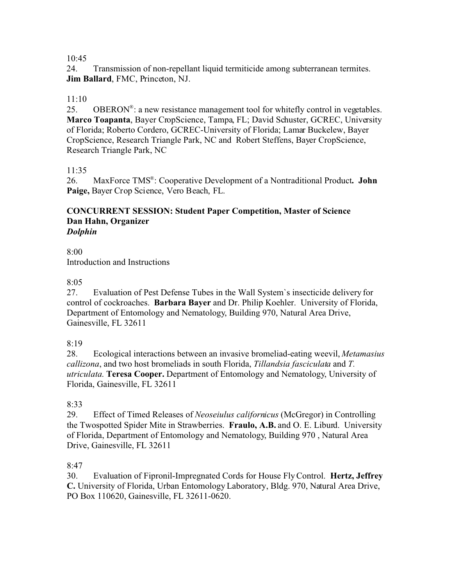24. Transmission of non-repellant liquid termiticide among subterranean termites. **Jim Ballard**, FMC, Princeton, NJ.

# $11:10$

25. OBERON<sup>®</sup>: a new resistance management tool for whitefly control in vegetables. **Marco Toapanta**, Bayer CropScience, Tampa, FL; David Schuster, GCREC, University of Florida; Roberto Cordero, GCREC-University of Florida; Lamar Buckelew, Bayer CropScience, Research Triangle Park, NC and Robert Steffens, Bayer CropScience, Research Triangle Park, NC

#### 11:35

26. MaxForce TMS® : Cooperative Development of a Nontraditional Product**. John Paige,** Bayer Crop Science, Vero Beach, FL.

#### **CONCURRENT SESSION: Student Paper Competition, Master of Science Dan Hahn, Organizer** *Dolphin*

8:00 Introduction and Instructions

## 8:05

27. Evaluation of Pest Defense Tubes in the Wall System`s insecticide delivery for control of cockroaches. **Barbara Bayer** and Dr. Philip Koehler. University of Florida, Department of Entomology and Nematology, Building 970, Natural Area Drive, Gainesville, FL 32611

#### 8:19

28. Ecological interactions between an invasive bromeliad-eating weevil, *Metamasius callizona*, and two host bromeliads in south Florida, *Tillandsia fasciculata* and *T. utriculata*. **Teresa Cooper.** Department of Entomology and Nematology, University of Florida, Gainesville, FL 32611

#### 8:33

29. Effect of Timed Releases of *Neoseiulus californicus* (McGregor) in Controlling the Twospotted Spider Mite in Strawberries. **Fraulo, A.B.** and O. E. Liburd. University of Florida, Department of Entomology and Nematology, Building 970 , Natural Area Drive, Gainesville, FL 32611

#### 8:47

30. Evaluation of Fipronil-Impregnated Cords for House Fly Control. **Hertz, Jeffrey C.** University of Florida, Urban Entomology Laboratory, Bldg. 970, Natural Area Drive, PO Box 110620, Gainesville, FL 32611-0620.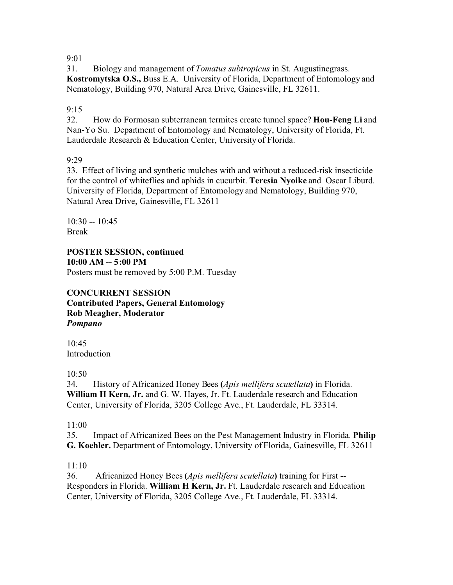31. Biology and management of *Tomatus subtropicus* in St. Augustinegrass. **Kostromytska O.S.,** Buss E.A. University of Florida, Department of Entomology and Nematology, Building 970, Natural Area Drive, Gainesville, FL 32611.

9:15

32. How do Formosan subterranean termites create tunnel space? **Hou-Feng Li** and Nan-Yo Su. Department of Entomology and Nematology, University of Florida, Ft. Lauderdale Research & Education Center, University of Florida.

9:29

33. Effect of living and synthetic mulches with and without a reduced-risk insecticide for the control of whiteflies and aphids in cucurbit. **Teresia Nyoike** and Oscar Liburd. University of Florida, Department of Entomology and Nematology, Building 970, Natural Area Drive, Gainesville, FL 32611

 $10:30 - 10:45$ Break

**POSTER SESSION, continued 10:00 AM -- 5:00 PM** Posters must be removed by 5:00 P.M. Tuesday

**CONCURRENT SESSION Contributed Papers, General Entomology Rob Meagher, Moderator** *Pompano*

 $10.45$ Introduction

10:50

34. History of Africanized Honey Bees **(***Apis mellifera scutellata***)** in Florida. **William H Kern, Jr.** and G. W. Hayes, Jr. Ft. Lauderdale research and Education Center, University of Florida, 3205 College Ave., Ft. Lauderdale, FL 33314.

11:00

35. Impact of Africanized Bees on the Pest Management Industry in Florida. **Philip G. Koehler.** Department of Entomology, University of Florida, Gainesville, FL 32611

11:10

36. Africanized Honey Bees **(***Apis mellifera scutellata***)** training for First -- Responders in Florida. **William H Kern, Jr.** Ft. Lauderdale research and Education Center, University of Florida, 3205 College Ave., Ft. Lauderdale, FL 33314.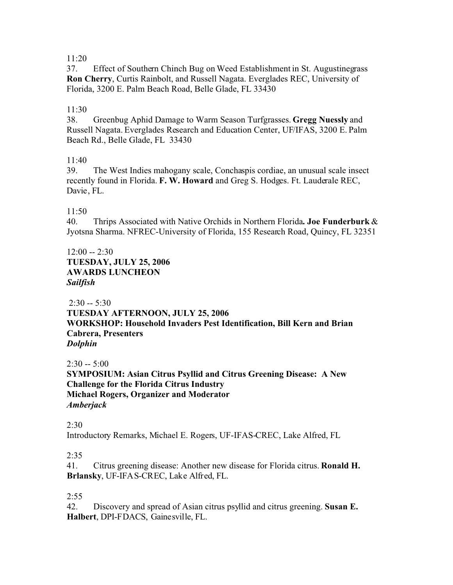37. Effect of Southern Chinch Bug on Weed Establishment in St. Augustinegrass **Ron Cherry**, Curtis Rainbolt, and Russell Nagata. Everglades REC, University of Florida, 3200 E. Palm Beach Road, Belle Glade, FL 33430

## 11:30

38. Greenbug Aphid Damage to Warm Season Turfgrasses. **Gregg Nuessly** and Russell Nagata. Everglades Research and Education Center, UF/IFAS, 3200 E. Palm Beach Rd., Belle Glade, FL 33430

#### 11:40

39. The West Indies mahogany scale, Conchaspis cordiae, an unusual scale insect recently found in Florida. **F. W. Howard** and Greg S. Hodges. Ft. Lauderale REC, Davie, FL.

11:50

40. Thrips Associated with Native Orchids in Northern Florida**. Joe Funderburk** & Jyotsna Sharma. NFREC-University of Florida, 155 Research Road, Quincy, FL 32351

 $12:00 - 2:30$ **TUESDAY, JULY 25, 2006 AWARDS LUNCHEON** *Sailfish*

 $2:30 - 5:30$ **TUESDAY AFTERNOON, JULY 25, 2006 WORKSHOP: Household Invaders Pest Identification, Bill Kern and Brian Cabrera, Presenters** *Dolphin*

 $2:30 - 5:00$ **SYMPOSIUM: Asian Citrus Psyllid and Citrus Greening Disease: A New Challenge for the Florida Citrus Industry Michael Rogers, Organizer and Moderator** *Amberjack*

2:30

Introductory Remarks, Michael E. Rogers, UF-IFAS-CREC, Lake Alfred, FL

#### 2:35

41. Citrus greening disease: Another new disease for Florida citrus. **Ronald H. Brlansky**, UF-IFAS-CREC, Lake Alfred, FL.

#### $2:55$

42. Discovery and spread of Asian citrus psyllid and citrus greening. **Susan E. Halbert**, DPI-FDACS, Gainesville, FL.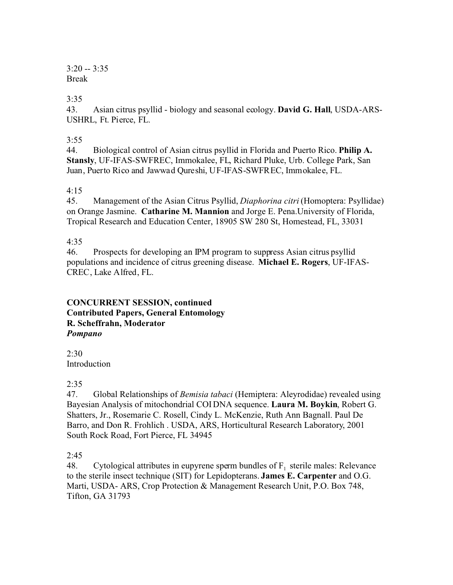$3:20 - 3:35$ Break

## 3:35

43. Asian citrus psyllid - biology and seasonal ecology. **David G. Hall**, USDA-ARS-USHRL, Ft. Pierce, FL.

#### 3:55

44. Biological control of Asian citrus psyllid in Florida and Puerto Rico. **Philip A. Stansly**, UF-IFAS-SWFREC, Immokalee, FL, Richard Pluke, Urb. College Park, San Juan, Puerto Rico and Jawwad Qureshi, UF-IFAS-SWFREC, Immokalee, FL.

#### 4:15

45. Management of the Asian Citrus Psyllid, *Diaphorina citri* (Homoptera: Psyllidae) on Orange Jasmine. **Catharine M. Mannion** and Jorge E. Pena.University of Florida, Tropical Research and Education Center, 18905 SW 280 St, Homestead, FL, 33031

## 4:35

46. Prospects for developing an IPM program to suppress Asian citrus psyllid populations and incidence of citrus greening disease. **Michael E. Rogers**, UF-IFAS-CREC, Lake Alfred, FL.

#### **CONCURRENT SESSION, continued Contributed Papers, General Entomology R. Scheffrahn, Moderator**  *Pompano*

2:30 Introduction

#### $2:35$

47. Global Relationships of *Bemisia tabaci* (Hemiptera: Aleyrodidae) revealed using Bayesian Analysis of mitochondrial COI DNA sequence. **Laura M. Boykin**, Robert G. Shatters, Jr., Rosemarie C. Rosell, Cindy L. McKenzie, Ruth Ann Bagnall. Paul De Barro, and Don R. Frohlich . USDA, ARS, Horticultural Research Laboratory, 2001 South Rock Road, Fort Pierce, FL 34945

# 2:45

48. Cytological attributes in eupyrene sperm bundles of  $F_1$  sterile males: Relevance to the sterile insect technique (SIT) for Lepidopterans. **James E. Carpenter** and O.G. Marti, USDA- ARS, Crop Protection & Management Research Unit, P.O. Box 748, Tifton, GA 31793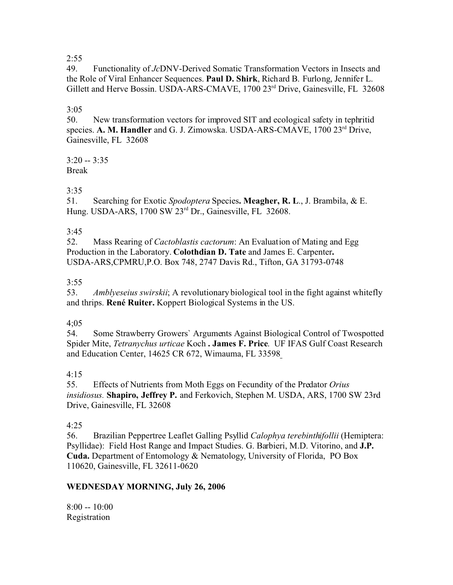49. Functionality of *Jc*DNV-Derived Somatic Transformation Vectors in Insects and the Role of Viral Enhancer Sequences. **Paul D. Shirk**, Richard B. Furlong, Jennifer L. Gillett and Herve Bossin. USDA-ARS-CMAVE, 1700 23<sup>rd</sup> Drive, Gainesville, FL 32608

# 3:05

50. New transformation vectors for improved SIT and ecological safety in tephritid species. **A. M. Handler** and G. J. Zimowska. USDA-ARS-CMAVE, 1700 23rd Drive, Gainesville, FL 32608

3:20 -- 3:35 Break

# 3:35

51. Searching for Exotic *Spodoptera* Species**. Meagher, R. L**., J. Brambila, & E. Hung. USDA-ARS, 1700 SW 23rd Dr., Gainesville, FL 32608.

# $3:45$ <br> $52.$

52. Mass Rearing of *Cactoblastis cactorum*: An Evaluation of Mating and Egg Production in the Laboratory. **Colothdian D. Tate** and James E. Carpenter**.** USDA-ARS,CPMRU,P.O. Box 748, 2747 Davis Rd., Tifton, GA 31793-0748

## $3:55$

53. *Amblyeseius swirskii*; A revolutionary biological tool in the fight against whitefly and thrips. **René Ruiter.** Koppert Biological Systems in the US.

#### 4;05

54. Some Strawberry Growers` Arguments Against Biological Control of Twospotted Spider Mite, *Tetranychus urticae* Koch **. James F. Price**. UF IFAS Gulf Coast Research and Education Center, 14625 CR 672, Wimauma, FL 33598

# 4:15

55. Effects of Nutrients from Moth Eggs on Fecundity of the Predator *Orius insidiosus.* **Shapiro, Jeffrey P.** and Ferkovich, Stephen M. USDA, ARS, 1700 SW 23rd Drive, Gainesville, FL 32608

# 4:25

56. Brazilian Peppertree Leaflet Galling Psyllid *Calophya terebinthifollii* (Hemiptera: Psyllidae): Field Host Range and Impact Studies. G. Barbieri, M.D. Vitorino, and **J.P. Cuda.** Department of Entomology & Nematology, University of Florida, PO Box 110620, Gainesville, FL 32611-0620

# **WEDNESDAY MORNING, July 26, 2006**

 $8:00 - 10:00$ Registration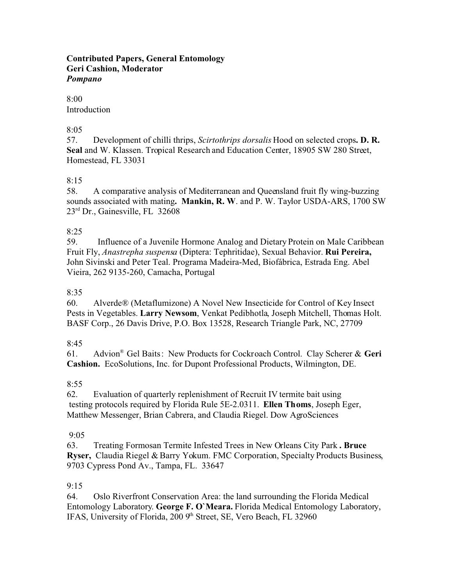#### **Contributed Papers, General Entomology Geri Cashion, Moderator** *Pompano*

#### 8:00 Introduction

## 8:05

57. Development of chilli thrips, *Scirtothrips dorsalis* Hood on selected crops**. D. R. Seal** and W. Klassen. Tropical Research and Education Center, 18905 SW 280 Street, Homestead, FL 33031

# 8:15

58. A comparative analysis of Mediterranean and Queensland fruit fly wing-buzzing sounds associated with mating**. Mankin, R. W**. and P. W. Taylor USDA-ARS, 1700 SW 23rd Dr., Gainesville, FL 32608

# $8:25$ <br>59.

59.Influence of a Juvenile Hormone Analog and Dietary Protein on Male Caribbean Fruit Fly, *Anastrepha suspensa* (Diptera: Tephritidae), Sexual Behavior. **Rui Pereira,** John Sivinski and Peter Teal. Programa Madeira-Med, Biofábrica, Estrada Eng. Abel Vieira, 262 9135-260, Camacha, Portugal

# 8:35

60. Alverde® (Metaflumizone) A Novel New Insecticide for Control of Key Insect Pests in Vegetables. **Larry Newsom**, Venkat Pedibhotla, Joseph Mitchell, Thomas Holt. BASF Corp., 26 Davis Drive, P.O. Box 13528, Research Triangle Park, NC, 27709

# $8.45$

61. Advion® Gel Baits: New Products for Cockroach Control. Clay Scherer & **Geri Cashion.** EcoSolutions, Inc. for Dupont Professional Products, Wilmington, DE.

# $8:55$

62. Evaluation of quarterly replenishment of Recruit IV termite bait using testing protocols required by Florida Rule 5E-2.0311. **Ellen Thoms**, Joseph Eger, Matthew Messenger, Brian Cabrera, and Claudia Riegel. Dow AgroSciences

# 9:05

63. Treating Formosan Termite Infested Trees in New Orleans City Park **. Bruce Ryser,** Claudia Riegel & Barry Yokum. FMC Corporation, Specialty Products Business, 9703 Cypress Pond Av., Tampa, FL. 33647

# 9:15

64. Oslo Riverfront Conservation Area: the land surrounding the Florida Medical Entomology Laboratory. **George F. O`Meara.** Florida Medical Entomology Laboratory, IFAS, University of Florida, 200 9<sup>th</sup> Street, SE, Vero Beach, FL 32960